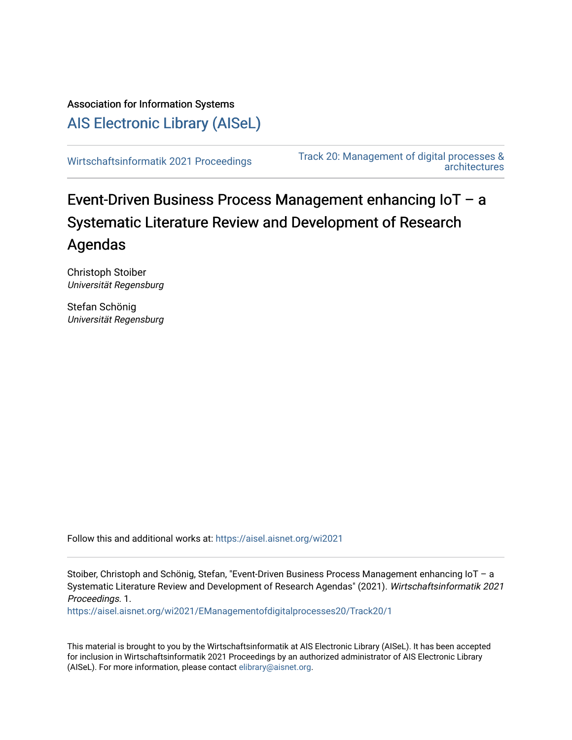Association for Information Systems [AIS Electronic Library \(AISeL\)](https://aisel.aisnet.org/)

[Wirtschaftsinformatik 2021 Proceedings](https://aisel.aisnet.org/wi2021) [Track 20: Management of digital processes &](https://aisel.aisnet.org/wi2021/EManagementofdigitalprocesses20)  [architectures](https://aisel.aisnet.org/wi2021/EManagementofdigitalprocesses20) 

# Event-Driven Business Process Management enhancing IoT – a Systematic Literature Review and Development of Research Agendas

Christoph Stoiber Universität Regensburg

Stefan Schönig Universität Regensburg

Follow this and additional works at: https://aisel.aisnet.org/wi2021

Stoiber, Christoph and Schönig, Stefan, "Event-Driven Business Process Management enhancing IoT – a Systematic Literature Review and Development of Research Agendas" (2021). Wirtschaftsinformatik 2021 Proceedings. 1.

[https://aisel.aisnet.org/wi2021/EManagementofdigitalprocesses20/Track20/1](https://aisel.aisnet.org/wi2021/EManagementofdigitalprocesses20/Track20/1?utm_source=aisel.aisnet.org%2Fwi2021%2FEManagementofdigitalprocesses20%2FTrack20%2F1&utm_medium=PDF&utm_campaign=PDFCoverPages)

This material is brought to you by the Wirtschaftsinformatik at AIS Electronic Library (AISeL). It has been accepted for inclusion in Wirtschaftsinformatik 2021 Proceedings by an authorized administrator of AIS Electronic Library (AISeL). For more information, please contact [elibrary@aisnet.org](mailto:elibrary@aisnet.org%3E).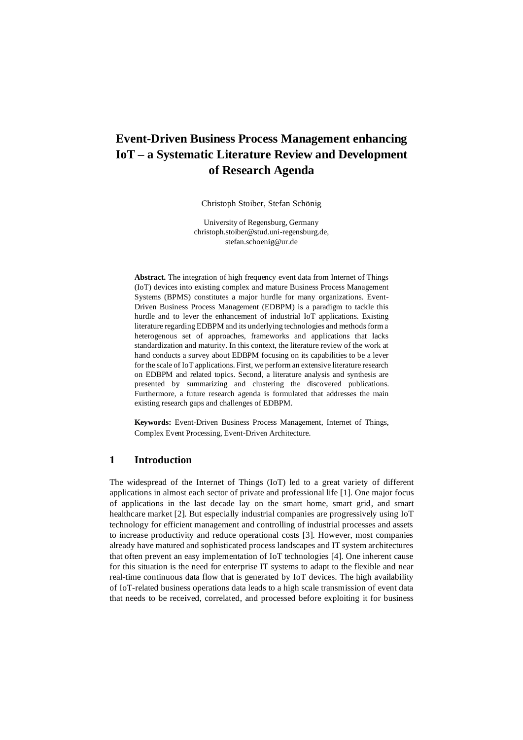## **Event-Driven Business Process Management enhancing IoT – a Systematic Literature Review and Development of Research Agenda**

Christoph Stoiber, Stefan Schönig

University of Regensburg, Germany [christoph.stoiber@stud.uni-regensburg.de,](mailto:christoph.stoiber@stud.uni-regensburg.de) stefan.schoenig@ur.de

**Abstract.** The integration of high frequency event data from Internet of Things (IoT) devices into existing complex and mature Business Process Management Systems (BPMS) constitutes a major hurdle for many organizations. Event-Driven Business Process Management (EDBPM) is a paradigm to tackle this hurdle and to lever the enhancement of industrial IoT applications. Existing literature regarding EDBPM and its underlying technologies and methods form a heterogenous set of approaches, frameworks and applications that lacks standardization and maturity. In this context, the literature review of the work at hand conducts a survey about EDBPM focusing on its capabilities to be a lever for the scale of IoT applications. First, we perform an extensive literature research on EDBPM and related topics. Second, a literature analysis and synthesis are presented by summarizing and clustering the discovered publications. Furthermore, a future research agenda is formulated that addresses the main existing research gaps and challenges of EDBPM.

**Keywords:** Event-Driven Business Process Management, Internet of Things, Complex Event Processing, Event-Driven Architecture.

## **1 Introduction**

The widespread of the Internet of Things (IoT) led to a great variety of different applications in almost each sector of private and professional life [\[1\]](#page-13-0). One major focus of applications in the last decade lay on the smart home, smart grid, and smart healthcare market [\[2\]](#page-13-1). But especially industrial companies are progressively using IoT technology for efficient management and controlling of industrial processes and assets to increase productivity and reduce operational costs [\[3\]](#page-13-2). However, most companies already have matured and sophisticated process landscapes and IT system architectures that often prevent an easy implementation of IoT technologies [\[4\]](#page-13-3). One inherent cause for this situation is the need for enterprise IT systems to adapt to the flexible and near real-time continuous data flow that is generated by IoT devices. The high availability of IoT-related business operations data leads to a high scale transmission of event data that needs to be received, correlated, and processed before exploiting it for business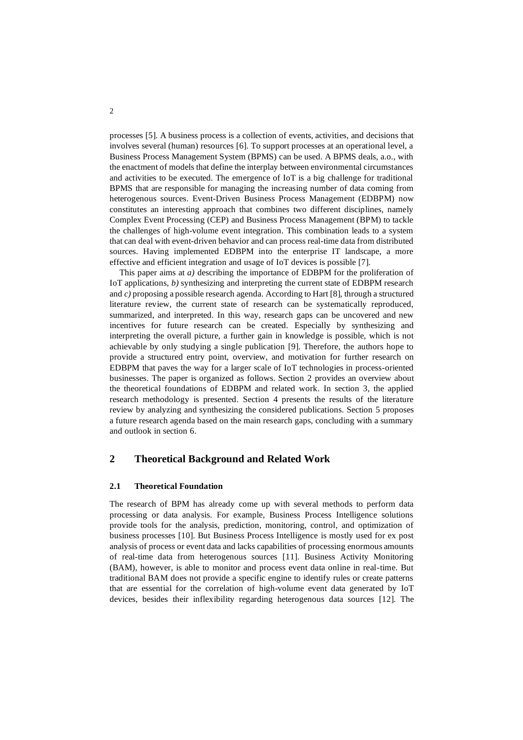processes [\[5\]](#page-13-4). A business process is a collection of events, activities, and decisions that involves several (human) resources [\[6\]](#page-13-5). To support processes at an operational level, a Business Process Management System (BPMS) can be used. A BPMS deals, a.o., with the enactment of models that define the interplay between environmental circumstances and activities to be executed. The emergence of IoT is a big challenge for traditional BPMS that are responsible for managing the increasing number of data coming from heterogenous sources. Event-Driven Business Process Management (EDBPM) now constitutes an interesting approach that combines two different disciplines, namely Complex Event Processing (CEP) and Business Process Management (BPM) to tackle the challenges of high-volume event integration. This combination leads to a system that can deal with event-driven behavior and can process real-time data from distributed sources. Having implemented EDBPM into the enterprise IT landscape, a more effective and efficient integration and usage of IoT devices is possible [\[7\]](#page-13-6).

This paper aims at *a)* describing the importance of EDBPM for the proliferation of IoT applications, *b)* synthesizing and interpreting the current state of EDBPM research and *c)* proposing a possible research agenda. According to Hart [\[8\]](#page-13-7), through a structured literature review, the current state of research can be systematically reproduced, summarized, and interpreted. In this way, research gaps can be uncovered and new incentives for future research can be created. Especially by synthesizing and interpreting the overall picture, a further gain in knowledge is possible, which is not achievable by only studying a single publication [\[9\]](#page-13-8). Therefore, the authors hope to provide a structured entry point, overview, and motivation for further research on EDBPM that paves the way for a larger scale of IoT technologies in process-oriented businesses. The paper is organized as follows. Section [2](#page-2-0) provides an overview about the theoretical foundations of EDBPM and related work. In section 3, the applied research methodology is presented. Section 4 presents the results of the literature review by analyzing and synthesizing the considered publications. Section 5 proposes a future research agenda based on the main research gaps, concluding with a summary and outlook in section [6.](#page-12-0)

## <span id="page-2-0"></span>**2 Theoretical Background and Related Work**

## **2.1 Theoretical Foundation**

The research of BPM has already come up with several methods to perform data processing or data analysis. For example, Business Process Intelligence solutions provide tools for the analysis, prediction, monitoring, control, and optimization of business processes [\[10\]](#page-13-9). But Business Process Intelligence is mostly used for ex post analysis of process or event data and lacks capabilities of processing enormous amounts of real-time data from heterogenous sources [\[11\]](#page-13-10). Business Activity Monitoring (BAM), however, is able to monitor and process event data online in real-time. But traditional BAM does not provide a specific engine to identify rules or create patterns that are essential for the correlation of high-volume event data generated by IoT devices, besides their inflexibility regarding heterogenous data sources [\[12\]](#page-13-11). The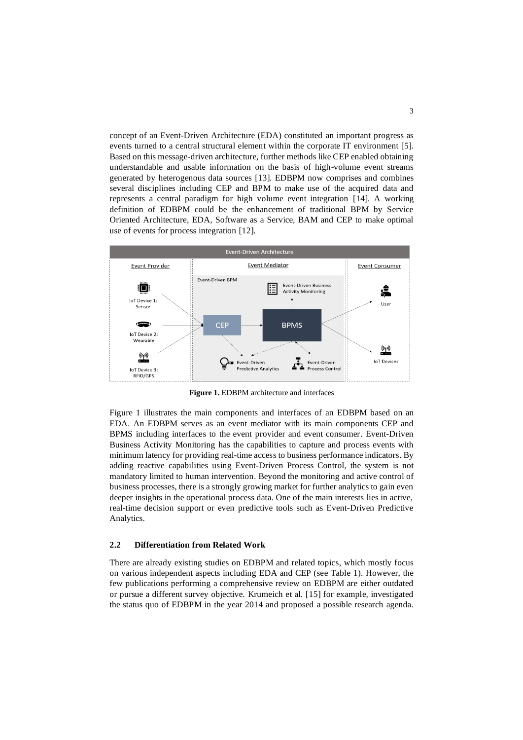concept of an Event-Driven Architecture (EDA) constituted an important progress as events turned to a central structural element within the corporate IT environment [\[5\]](#page-13-4). Based on this message-driven architecture, further methods like CEP enabled obtaining understandable and usable information on the basis of high-volume event streams generated by heterogenous data sources [\[13\]](#page-13-12). EDBPM now comprises and combines several disciplines including CEP and BPM to make use of the acquired data and represents a central paradigm for high volume event integration [\[14\]](#page-14-0). A working definition of EDBPM could be the enhancement of traditional BPM by Service Oriented Architecture, EDA, Software as a Service, BAM and CEP to make optimal use of events for process integration [\[12\]](#page-13-11).



**Figure 1.** EDBPM architecture and interfaces

<span id="page-3-0"></span>[Figure](#page-3-0) 1 illustrates the main components and interfaces of an EDBPM based on an EDA. An EDBPM serves as an event mediator with its main components CEP and BPMS including interfaces to the event provider and event consumer. Event-Driven Business Activity Monitoring has the capabilities to capture and process events with minimum latency for providing real-time access to business performance indicators. By adding reactive capabilities using Event-Driven Process Control, the system is not mandatory limited to human intervention. Beyond the monitoring and active control of business processes, there is a strongly growing market for further analytics to gain even deeper insights in the operational process data. One of the main interests lies in active, real-time decision support or even predictive tools such as Event-Driven Predictive Analytics.

#### **2.2 Differentiation from Related Work**

There are already existing studies on EDBPM and related topics, which mostly focus on various independent aspects including EDA and CEP (see Table 1). However, the few publications performing a comprehensive review on EDBPM are either outdated or pursue a different survey objective. Krumeich et al. [\[15\]](#page-14-1) for example, investigated the status quo of EDBPM in the year 2014 and proposed a possible research agenda.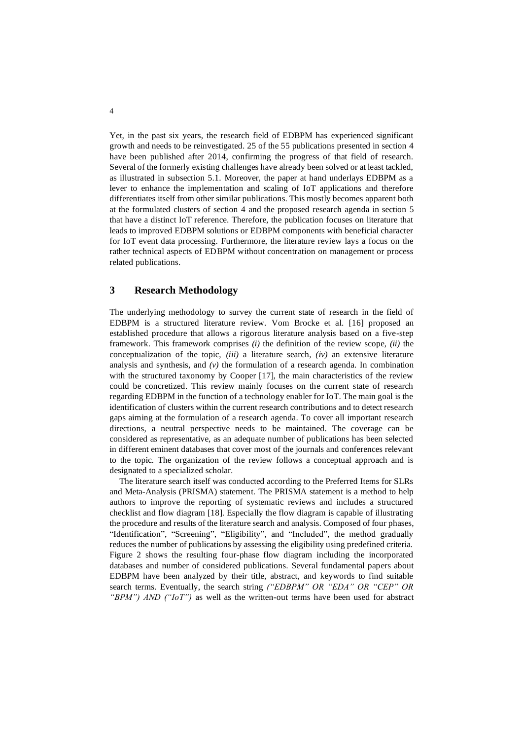Yet, in the past six years, the research field of EDBPM has experienced significant growth and needs to be reinvestigated. 25 of the 55 publications presented in section 4 have been published after 2014, confirming the progress of that field of research. Several of the formerly existing challenges have already been solved or at least tackled, as illustrated in subsection 5.1. Moreover, the paper at hand underlays EDBPM as a lever to enhance the implementation and scaling of IoT applications and therefore differentiates itself from other similar publications. This mostly becomes apparent both at the formulated clusters of section 4 and the proposed research agenda in section 5 that have a distinct IoT reference. Therefore, the publication focuses on literature that leads to improved EDBPM solutions or EDBPM components with beneficial character for IoT event data processing. Furthermore, the literature review lays a focus on the rather technical aspects of EDBPM without concentration on management or process related publications.

## **3 Research Methodology**

The underlying methodology to survey the current state of research in the field of EDBPM is a structured literature review. Vom Brocke et al. [\[16\]](#page-14-2) proposed an established procedure that allows a rigorous literature analysis based on a five-step framework. This framework comprises *(i)* the definition of the review scope, *(ii)* the conceptualization of the topic, *(iii)* a literature search, *(iv)* an extensive literature analysis and synthesis, and  $(v)$  the formulation of a research agenda. In combination with the structured taxonomy by Cooper [\[17\]](#page-14-3), the main characteristics of the review could be concretized. This review mainly focuses on the current state of research regarding EDBPM in the function of a technology enabler for IoT. The main goal is the identification of clusters within the current research contributions and to detect research gaps aiming at the formulation of a research agenda. To cover all important research directions, a neutral perspective needs to be maintained. The coverage can be considered as representative, as an adequate number of publications has been selected in different eminent databases that cover most of the journals and conferences relevant to the topic. The organization of the review follows a conceptual approach and is designated to a specialized scholar.

The literature search itself was conducted according to the Preferred Items for SLRs and Meta-Analysis (PRISMA) statement. The PRISMA statement is a method to help authors to improve the reporting of systematic reviews and includes a structured checklist and flow diagram [\[18\]](#page-14-4). Especially the flow diagram is capable of illustrating the procedure and results of the literature search and analysis. Composed of four phases, "Identification", "Screening", "Eligibility", and "Included", the method gradually reduces the number of publications by assessing the eligibility using predefined criteria. Figure 2 shows the resulting four-phase flow diagram including the incorporated databases and number of considered publications. Several fundamental papers about EDBPM have been analyzed by their title, abstract, and keywords to find suitable search terms. Eventually, the search string *("EDBPM" OR "EDA" OR "CEP" OR "BPM") AND ("IoT")* as well as the written-out terms have been used for abstract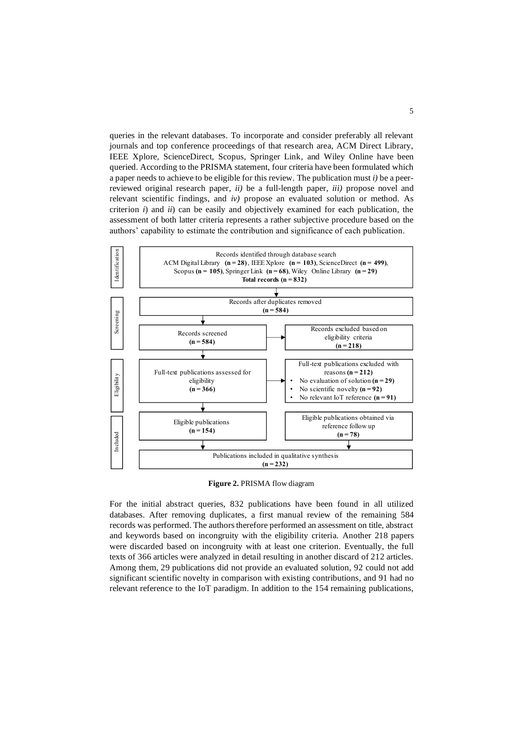queries in the relevant databases. To incorporate and consider preferably all relevant journals and top conference proceedings of that research area, ACM Direct Library, IEEE Xplore, ScienceDirect, Scopus, Springer Link, and Wiley Online have been queried. According to the PRISMA statement, four criteria have been formulated which a paper needs to achieve to be eligible for this review. The publication must *i)* be a peerreviewed original research paper, *ii)* be a full-length paper, *iii)* propose novel and relevant scientific findings, and *iv)* propose an evaluated solution or method. As criterion *i*) and *ii*) can be easily and objectively examined for each publication, the assessment of both latter criteria represents a rather subjective procedure based on the authors' capability to estimate the contribution and significance of each publication.



**Figure 2.** PRISMA flow diagram

For the initial abstract queries, 832 publications have been found in all utilized databases. After removing duplicates, a first manual review of the remaining 584 records was performed. The authors therefore performed an assessment on title, abstract and keywords based on incongruity with the eligibility criteria. Another 218 papers were discarded based on incongruity with at least one criterion. Eventually, the full texts of 366 articles were analyzed in detail resulting in another discard of 212 articles. Among them, 29 publications did not provide an evaluated solution, 92 could not add significant scientific novelty in comparison with existing contributions, and 91 had no relevant reference to the IoT paradigm. In addition to the 154 remaining publications,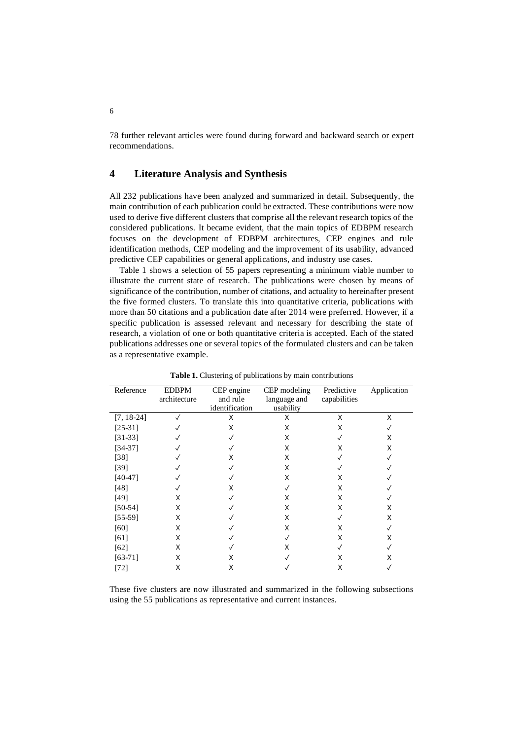78 further relevant articles were found during forward and backward search or expert recommendations.

## **4 Literature Analysis and Synthesis**

All 232 publications have been analyzed and summarized in detail. Subsequently, the main contribution of each publication could be extracted. These contributions were now used to derive five different clusters that comprise all the relevant research topics of the considered publications. It became evident, that the main topics of EDBPM research focuses on the development of EDBPM architectures, CEP engines and rule identification methods, CEP modeling and the improvement of its usability, advanced predictive CEP capabilities or general applications, and industry use cases.

Table 1 shows a selection of 55 papers representing a minimum viable number to illustrate the current state of research. The publications were chosen by means of significance of the contribution, number of citations, and actuality to hereinafter present the five formed clusters. To translate this into quantitative criteria, publications with more than 50 citations and a publication date after 2014 were preferred. However, if a specific publication is assessed relevant and necessary for describing the state of research, a violation of one or both quantitative criteria is accepted. Each of the stated publications addresses one or several topics of the formulated clusters and can be taken as a representative example.

| Reference    | <b>EDBPM</b><br>architecture | CEP engine<br>and rule<br>identification | CEP modeling<br>language and<br>usability | Predictive<br>capabilities | Application  |
|--------------|------------------------------|------------------------------------------|-------------------------------------------|----------------------------|--------------|
| $[7, 18-24]$ | ✓                            | X                                        | X                                         | X                          | X            |
| $[25-31]$    | ✓                            | X                                        | X                                         | X                          |              |
| $[31-33]$    | √                            |                                          | X                                         | $\checkmark$               | X            |
| $[34-37]$    | ✓                            |                                          | X                                         | X                          | X            |
| [38]         |                              | x                                        | X                                         |                            |              |
| [39]         |                              |                                          | X                                         |                            |              |
| $[40-47]$    |                              |                                          | X                                         | X                          |              |
| [48]         |                              | x                                        |                                           | X                          |              |
| [49]         | X                            |                                          | X                                         | X                          |              |
| $[50-54]$    | X                            |                                          | Χ                                         | X                          | X            |
| $[55-59]$    | X                            |                                          | X                                         | $\sqrt{}$                  | X            |
| [60]         | X                            |                                          | X                                         | X                          | $\checkmark$ |
| [61]         | X                            |                                          |                                           | X                          | X            |
| [62]         | X                            |                                          | x                                         |                            |              |
| $[63-71]$    | X                            | X                                        |                                           | x                          | х            |
| [72]         | X                            | Χ                                        |                                           | X                          |              |

**Table 1.** Clustering of publications by main contributions

These five clusters are now illustrated and summarized in the following subsections using the 55 publications as representative and current instances.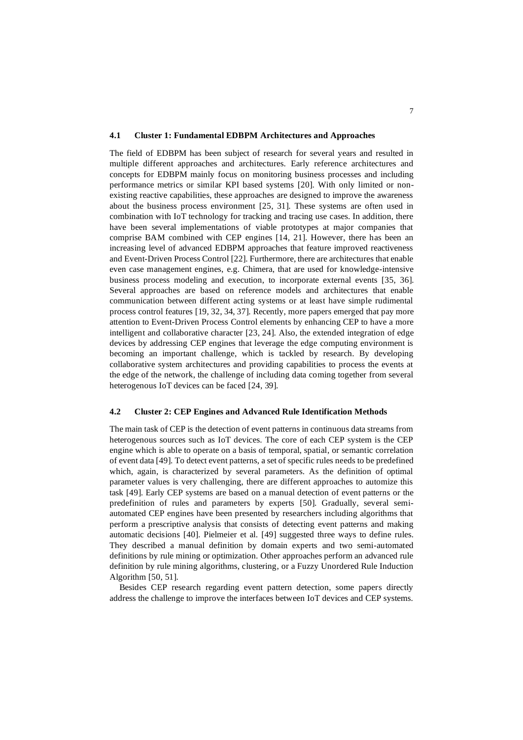#### **4.1 Cluster 1: Fundamental EDBPM Architectures and Approaches**

The field of EDBPM has been subject of research for several years and resulted in multiple different approaches and architectures. Early reference architectures and concepts for EDBPM mainly focus on monitoring business processes and including performance metrics or similar KPI based systems [\[20\]](#page-14-7). With only limited or nonexisting reactive capabilities, these approaches are designed to improve the awareness about the business process environment [\[25,](#page-14-6) [31\]](#page-15-0). These systems are often used in combination with IoT technology for tracking and tracing use cases. In addition, there have been several implementations of viable prototypes at major companies that comprise BAM combined with CEP engines [\[14,](#page-14-0) [21\]](#page-14-8). However, there has been an increasing level of advanced EDBPM approaches that feature improved reactiveness and Event-Driven Process Control [\[22\]](#page-14-9). Furthermore, there are architectures that enable even case management engines, e.g. Chimera, that are used for knowledge-intensive business process modeling and execution, to incorporate external events [\[35,](#page-15-7) [36\]](#page-15-8). Several approaches are based on reference models and architectures that enable communication between different acting systems or at least have simple rudimental process control features [\[19,](#page-14-10) [32,](#page-15-9) [34,](#page-15-2) [37\]](#page-15-3). Recently, more papers emerged that pay more attention to Event-Driven Process Control elements by enhancing CEP to have a more intelligent and collaborative character [\[23,](#page-14-11) [24\]](#page-14-5). Also, the extended integration of edge devices by addressing CEP engines that leverage the edge computing environment is becoming an important challenge, which is tackled by research. By developing collaborative system architectures and providing capabilities to process the events at the edge of the network, the challenge of including data coming together from several heterogenous IoT devices can be faced [\[24,](#page-14-5) [39\]](#page-15-5).

#### **4.2 Cluster 2: CEP Engines and Advanced Rule Identification Methods**

The main task of CEP is the detection of event patterns in continuous data streams from heterogenous sources such as IoT devices. The core of each CEP system is the CEP engine which is able to operate on a basis of temporal, spatial, or semantic correlation of event data [\[49\]](#page-16-2). To detect event patterns, a set of specific rules needs to be predefined which, again, is characterized by several parameters. As the definition of optimal parameter values is very challenging, there are different approaches to automize this task [\[49\]](#page-16-2). Early CEP systems are based on a manual detection of event patterns or the predefinition of rules and parameters by experts [\[50\]](#page-16-3). Gradually, several semiautomated CEP engines have been presented by researchers including algorithms that perform a prescriptive analysis that consists of detecting event patterns and making automatic decisions [\[40\]](#page-15-6). Pielmeier et al. [\[49\]](#page-16-2) suggested three ways to define rules. They described a manual definition by domain experts and two semi-automated definitions by rule mining or optimization. Other approaches perform an advanced rule definition by rule mining algorithms, clustering, or a Fuzzy Unordered Rule Induction Algorithm [\[50,](#page-16-3) [51\]](#page-16-8).

Besides CEP research regarding event pattern detection, some papers directly address the challenge to improve the interfaces between IoT devices and CEP systems.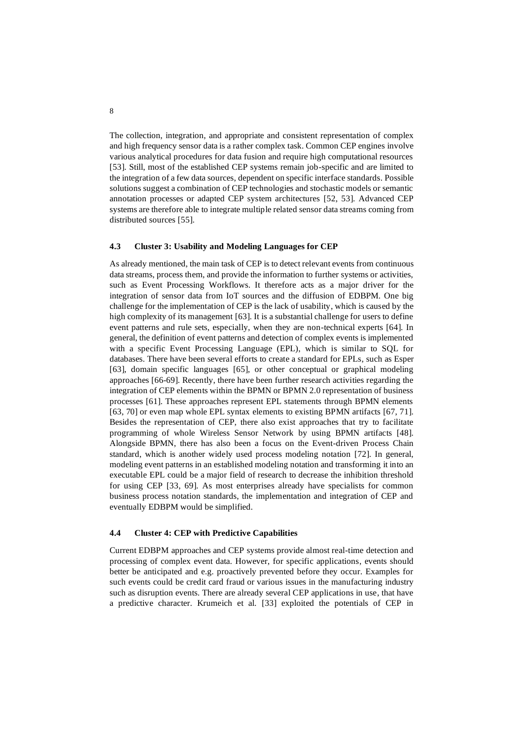The collection, integration, and appropriate and consistent representation of complex and high frequency sensor data is a rather complex task. Common CEP engines involve various analytical procedures for data fusion and require high computational resources [\[53\]](#page-16-9). Still, most of the established CEP systems remain job-specific and are limited to the integration of a few data sources, dependent on specific interface standards. Possible solutions suggest a combination of CEP technologies and stochastic models or semantic annotation processes or adapted CEP system architectures [\[52,](#page-16-10) [53\]](#page-16-9). Advanced CEP systems are therefore able to integrate multiple related sensor data streams coming from distributed sources [\[55\]](#page-16-5).

#### **4.3 Cluster 3: Usability and Modeling Languages for CEP**

As already mentioned, the main task of CEP is to detect relevant events from continuous data streams, process them, and provide the information to further systems or activities, such as Event Processing Workflows. It therefore acts as a major driver for the integration of sensor data from IoT sources and the diffusion of EDBPM. One big challenge for the implementation of CEP is the lack of usability, which is caused by the high complexity of its management [\[63\]](#page-17-2). It is a substantial challenge for users to define event patterns and rule sets, especially, when they are non-technical experts [\[64\]](#page-17-5). In general, the definition of event patterns and detection of complex events is implemented with a specific Event Processing Language (EPL), which is similar to SQL for databases. There have been several efforts to create a standard for EPLs, such as Esper [\[63\]](#page-17-2), domain specific languages [\[65\]](#page-17-6), or other conceptual or graphical modeling approaches [\[66](#page-17-7)[-69\]](#page-17-8). Recently, there have been further research activities regarding the integration of CEP elements within the BPMN or BPMN 2.0 representation of business processes [\[61\]](#page-17-0). These approaches represent EPL statements through BPMN elements [\[63,](#page-17-2) [70\]](#page-17-9) or even map whole EPL syntax elements to existing BPMN artifacts [\[67,](#page-17-10) [71\]](#page-17-3). Besides the representation of CEP, there also exist approaches that try to facilitate programming of whole Wireless Sensor Network by using BPMN artifacts [\[48\]](#page-16-1). Alongside BPMN, there has also been a focus on the Event-driven Process Chain standard, which is another widely used process modeling notation [\[72\]](#page-17-4). In general, modeling event patterns in an established modeling notation and transforming it into an executable EPL could be a major field of research to decrease the inhibition threshold for using CEP [\[33,](#page-15-1) [69\]](#page-17-8). As most enterprises already have specialists for common business process notation standards, the implementation and integration of CEP and eventually EDBPM would be simplified.

## **4.4 Cluster 4: CEP with Predictive Capabilities**

Current EDBPM approaches and CEP systems provide almost real-time detection and processing of complex event data. However, for specific applications, events should better be anticipated and e.g. proactively prevented before they occur. Examples for such events could be credit card fraud or various issues in the manufacturing industry such as disruption events. There are already several CEP applications in use, that have a predictive character. Krumeich et al. [\[33\]](#page-15-1) exploited the potentials of CEP in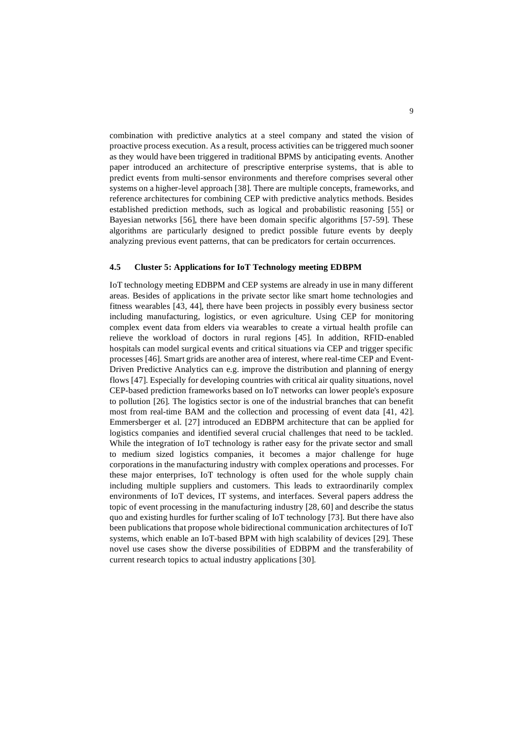combination with predictive analytics at a steel company and stated the vision of proactive process execution. As a result, process activities can be triggered much sooner as they would have been triggered in traditional BPMS by anticipating events. Another paper introduced an architecture of prescriptive enterprise systems, that is able to predict events from multi-sensor environments and therefore comprises several other systems on a higher-level approach [\[38\]](#page-15-4). There are multiple concepts, frameworks, and reference architectures for combining CEP with predictive analytics methods. Besides established prediction methods, such as logical and probabilistic reasoning [\[55\]](#page-16-5) or Bayesian networks [\[56\]](#page-16-11), there have been domain specific algorithms [\[57](#page-16-12)[-59\]](#page-16-6). These algorithms are particularly designed to predict possible future events by deeply analyzing previous event patterns, that can be predicators for certain occurrences.

## **4.5 Cluster 5: Applications for IoT Technology meeting EDBPM**

IoT technology meeting EDBPM and CEP systems are already in use in many different areas. Besides of applications in the private sector like smart home technologies and fitness wearables [\[43,](#page-15-10) [44\]](#page-16-13), there have been projects in possibly every business sector including manufacturing, logistics, or even agriculture. Using CEP for monitoring complex event data from elders via wearables to create a virtual health profile can relieve the workload of doctors in rural regions [\[45\]](#page-16-14). In addition, RFID-enabled hospitals can model surgical events and critical situations via CEP and trigger specific processes [\[46\]](#page-16-15). Smart grids are another area of interest, where real-time CEP and Event-Driven Predictive Analytics can e.g. improve the distribution and planning of energy flows [\[47\]](#page-16-0). Especially for developing countries with critical air quality situations, novel CEP-based prediction frameworks based on IoT networks can lower people's exposure to pollution [\[26\]](#page-14-12). The logistics sector is one of the industrial branches that can benefit most from real-time BAM and the collection and processing of event data [\[41,](#page-15-11) [42\]](#page-15-12). Emmersberger et al. [\[27\]](#page-14-13) introduced an EDBPM architecture that can be applied for logistics companies and identified several crucial challenges that need to be tackled. While the integration of IoT technology is rather easy for the private sector and small to medium sized logistics companies, it becomes a major challenge for huge corporations in the manufacturing industry with complex operations and processes. For these major enterprises, IoT technology is often used for the whole supply chain including multiple suppliers and customers. This leads to extraordinarily complex environments of IoT devices, IT systems, and interfaces. Several papers address the topic of event processing in the manufacturing industry [\[28,](#page-14-14) [60\]](#page-16-7) and describe the status quo and existing hurdles for further scaling of IoT technology [\[73\]](#page-17-11). But there have also been publications that propose whole bidirectional communication architectures of IoT systems, which enable an IoT-based BPM with high scalability of devices [\[29\]](#page-15-13). These novel use cases show the diverse possibilities of EDBPM and the transferability of current research topics to actual industry applications [\[30\]](#page-15-14).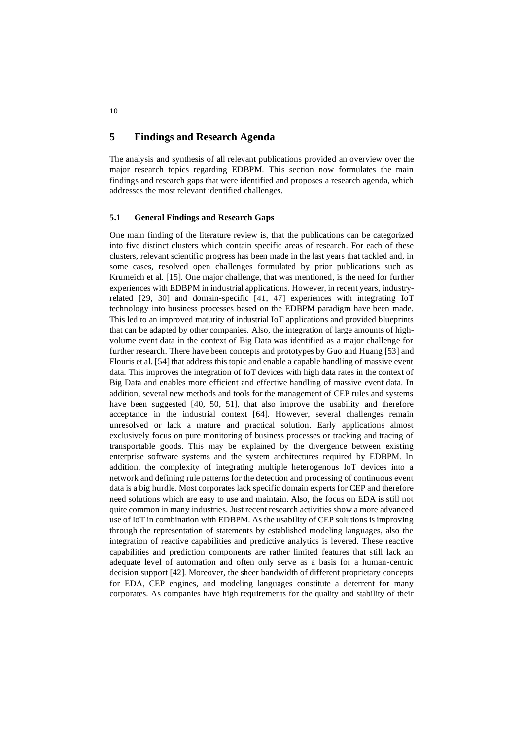## **5 Findings and Research Agenda**

The analysis and synthesis of all relevant publications provided an overview over the major research topics regarding EDBPM. This section now formulates the main findings and research gaps that were identified and proposes a research agenda, which addresses the most relevant identified challenges.

## **5.1 General Findings and Research Gaps**

One main finding of the literature review is, that the publications can be categorized into five distinct clusters which contain specific areas of research. For each of these clusters, relevant scientific progress has been made in the last years that tackled and, in some cases, resolved open challenges formulated by prior publications such as Krumeich et al. [\[15\]](#page-14-1). One major challenge, that was mentioned, is the need for further experiences with EDBPM in industrial applications. However, in recent years, industryrelated [\[29,](#page-15-13) [30\]](#page-15-14) and domain-specific [\[41,](#page-15-11) [47\]](#page-16-0) experiences with integrating IoT technology into business processes based on the EDBPM paradigm have been made. This led to an improved maturity of industrial IoT applications and provided blueprints that can be adapted by other companies. Also, the integration of large amounts of highvolume event data in the context of Big Data was identified as a major challenge for further research. There have been concepts and prototypes by Guo and Huang [\[53\]](#page-16-9) and Flouris et al. [\[54\]](#page-16-4) that address this topic and enable a capable handling of massive event data. This improves the integration of IoT devices with high data rates in the context of Big Data and enables more efficient and effective handling of massive event data. In addition, several new methods and tools for the management of CEP rules and systems have been suggested [\[40,](#page-15-6) [50,](#page-16-3) [51\]](#page-16-8), that also improve the usability and therefore acceptance in the industrial context [\[64\]](#page-17-5). However, several challenges remain unresolved or lack a mature and practical solution. Early applications almost exclusively focus on pure monitoring of business processes or tracking and tracing of transportable goods. This may be explained by the divergence between existing enterprise software systems and the system architectures required by EDBPM. In addition, the complexity of integrating multiple heterogenous IoT devices into a network and defining rule patterns for the detection and processing of continuous event data is a big hurdle. Most corporates lack specific domain experts for CEP and therefore need solutions which are easy to use and maintain. Also, the focus on EDA is still not quite common in many industries. Just recent research activities show a more advanced use of IoT in combination with EDBPM. As the usability of CEP solutions is improving through the representation of statements by established modeling languages, also the integration of reactive capabilities and predictive analytics is levered. These reactive capabilities and prediction components are rather limited features that still lack an adequate level of automation and often only serve as a basis for a human-centric decision support [\[42\]](#page-15-12). Moreover, the sheer bandwidth of different proprietary concepts for EDA, CEP engines, and modeling languages constitute a deterrent for many corporates. As companies have high requirements for the quality and stability of their

10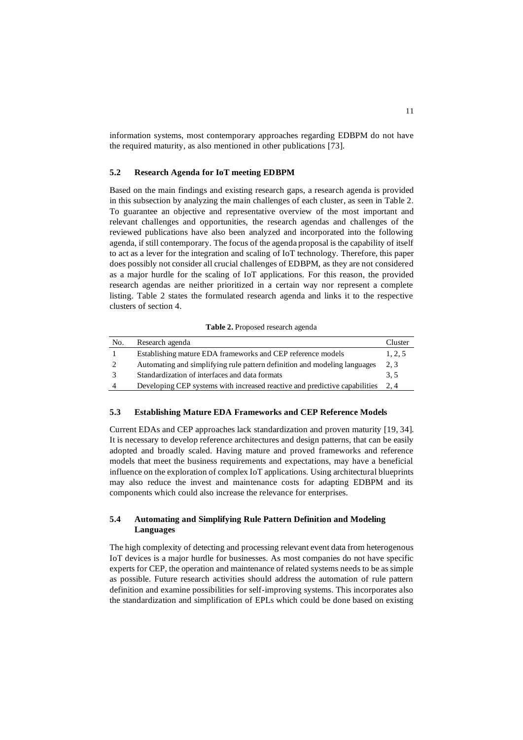information systems, most contemporary approaches regarding EDBPM do not have the required maturity, as also mentioned in other publications [\[73\]](#page-17-11).

#### **5.2 Research Agenda for IoT meeting EDBPM**

Based on the main findings and existing research gaps, a research agenda is provided in this subsection by analyzing the main challenges of each cluster, as seen in Table 2. To guarantee an objective and representative overview of the most important and relevant challenges and opportunities, the research agendas and challenges of the reviewed publications have also been analyzed and incorporated into the following agenda, if still contemporary. The focus of the agenda proposal is the capability of itself to act as a lever for the integration and scaling of IoT technology. Therefore, this paper does possibly not consider all crucial challenges of EDBPM, as they are not considered as a major hurdle for the scaling of IoT applications. For this reason, the provided research agendas are neither prioritized in a certain way nor represent a complete listing. Table 2 states the formulated research agenda and links it to the respective clusters of section 4.

No. Research agenda Cluster 1 Establishing mature EDA frameworks and CEP reference models 1, 2, 5 2 Automating and simplifying rule pattern definition and modeling languages 2, 3 3 Standardization of interfaces and data formats 3, 5 4 Developing CEP systems with increased reactive and predictive capabilities 2, 4

**Table 2.** Proposed research agenda

#### **5.3 Establishing Mature EDA Frameworks and CEP Reference Models**

Current EDAs and CEP approaches lack standardization and proven maturity [\[19,](#page-14-10) [34\]](#page-15-2). It is necessary to develop reference architectures and design patterns, that can be easily adopted and broadly scaled. Having mature and proved frameworks and reference models that meet the business requirements and expectations, may have a beneficial influence on the exploration of complex IoT applications. Using architectural blueprints may also reduce the invest and maintenance costs for adapting EDBPM and its components which could also increase the relevance for enterprises.

## **5.4 Automating and Simplifying Rule Pattern Definition and Modeling Languages**

The high complexity of detecting and processing relevant event data from heterogenous IoT devices is a major hurdle for businesses. As most companies do not have specific experts for CEP, the operation and maintenance of related systems needs to be as simple as possible. Future research activities should address the automation of rule pattern definition and examine possibilities for self-improving systems. This incorporates also the standardization and simplification of EPLs which could be done based on existing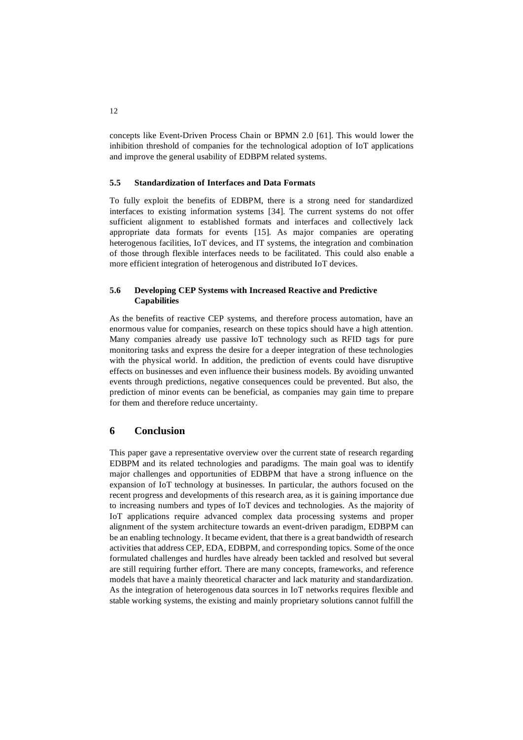concepts like Event-Driven Process Chain or BPMN 2.0 [\[61\]](#page-17-0). This would lower the inhibition threshold of companies for the technological adoption of IoT applications and improve the general usability of EDBPM related systems.

## **5.5 Standardization of Interfaces and Data Formats**

To fully exploit the benefits of EDBPM, there is a strong need for standardized interfaces to existing information systems [\[34\]](#page-15-2). The current systems do not offer sufficient alignment to established formats and interfaces and collectively lack appropriate data formats for events [\[15\]](#page-14-1). As major companies are operating heterogenous facilities, IoT devices, and IT systems, the integration and combination of those through flexible interfaces needs to be facilitated. This could also enable a more efficient integration of heterogenous and distributed IoT devices.

## **5.6 Developing CEP Systems with Increased Reactive and Predictive Capabilities**

As the benefits of reactive CEP systems, and therefore process automation, have an enormous value for companies, research on these topics should have a high attention. Many companies already use passive IoT technology such as RFID tags for pure monitoring tasks and express the desire for a deeper integration of these technologies with the physical world. In addition, the prediction of events could have disruptive effects on businesses and even influence their business models. By avoiding unwanted events through predictions, negative consequences could be prevented. But also, the prediction of minor events can be beneficial, as companies may gain time to prepare for them and therefore reduce uncertainty.

## <span id="page-12-0"></span>**6 Conclusion**

This paper gave a representative overview over the current state of research regarding EDBPM and its related technologies and paradigms. The main goal was to identify major challenges and opportunities of EDBPM that have a strong influence on the expansion of IoT technology at businesses. In particular, the authors focused on the recent progress and developments of this research area, as it is gaining importance due to increasing numbers and types of IoT devices and technologies. As the majority of IoT applications require advanced complex data processing systems and proper alignment of the system architecture towards an event-driven paradigm, EDBPM can be an enabling technology. It became evident, that there is a great bandwidth of research activities that address CEP, EDA, EDBPM, and corresponding topics. Some of the once formulated challenges and hurdles have already been tackled and resolved but several are still requiring further effort. There are many concepts, frameworks, and reference models that have a mainly theoretical character and lack maturity and standardization. As the integration of heterogenous data sources in IoT networks requires flexible and stable working systems, the existing and mainly proprietary solutions cannot fulfill the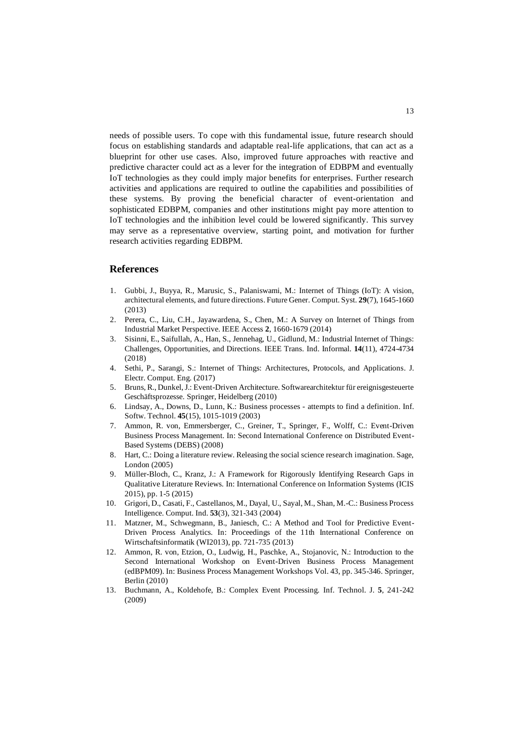needs of possible users. To cope with this fundamental issue, future research should focus on establishing standards and adaptable real-life applications, that can act as a blueprint for other use cases. Also, improved future approaches with reactive and predictive character could act as a lever for the integration of EDBPM and eventually IoT technologies as they could imply major benefits for enterprises. Further research activities and applications are required to outline the capabilities and possibilities of these systems. By proving the beneficial character of event-orientation and sophisticated EDBPM, companies and other institutions might pay more attention to IoT technologies and the inhibition level could be lowered significantly. This survey may serve as a representative overview, starting point, and motivation for further research activities regarding EDBPM.

## **References**

- <span id="page-13-0"></span>1. Gubbi, J., Buyya, R., Marusic, S., Palaniswami, M.: Internet of Things (IoT): A vision, architectural elements, and future directions. Future Gener. Comput. Syst. **29**(7), 1645-1660 (2013)
- <span id="page-13-1"></span>2. Perera, C., Liu, C.H., Jayawardena, S., Chen, M.: A Survey on Internet of Things from Industrial Market Perspective. IEEE Access **2**, 1660-1679 (2014)
- <span id="page-13-2"></span>3. Sisinni, E., Saifullah, A., Han, S., Jennehag, U., Gidlund, M.: Industrial Internet of Things: Challenges, Opportunities, and Directions. IEEE Trans. Ind. Informal. **14**(11), 4724-4734 (2018)
- <span id="page-13-3"></span>4. Sethi, P., Sarangi, S.: Internet of Things: Architectures, Protocols, and Applications. J. Electr. Comput. Eng. (2017)
- <span id="page-13-4"></span>5. Bruns, R., Dunkel, J.: Event-Driven Architecture. Softwarearchitektur für ereignisgesteuerte Geschäftsprozesse. Springer, Heidelberg (2010)
- <span id="page-13-5"></span>6. Lindsay, A., Downs, D., Lunn, K.: Business processes - attempts to find a definition. Inf. Softw. Technol. **45**(15), 1015-1019 (2003)
- <span id="page-13-6"></span>7. Ammon, R. von, Emmersberger, C., Greiner, T., Springer, F., Wolff, C.: Event-Driven Business Process Management. In: Second International Conference on Distributed Event-Based Systems (DEBS) (2008)
- <span id="page-13-7"></span>8. Hart, C.: Doing a literature review. Releasing the social science research imagination. Sage, London (2005)
- <span id="page-13-8"></span>9. Müller-Bloch, C., Kranz, J.: A Framework for Rigorously Identifying Research Gaps in Qualitative Literature Reviews. In: International Conference on Information Systems (ICIS 2015), pp. 1-5 (2015)
- <span id="page-13-9"></span>10. Grigori, D., Casati, F., Castellanos, M., Dayal, U., Sayal, M., Shan, M.-C.: Business Process Intelligence. Comput. Ind. **53**(3), 321-343 (2004)
- <span id="page-13-10"></span>11. Matzner, M., Schwegmann, B., Janiesch, C.: A Method and Tool for Predictive Event-Driven Process Analytics. In: Proceedings of the 11th International Conference on Wirtschaftsinformatik (WI2013), pp. 721-735 (2013)
- <span id="page-13-11"></span>12. Ammon, R. von, Etzion, O., Ludwig, H., Paschke, A., Stojanovic, N.: Introduction to the Second International Workshop on Event-Driven Business Process Management (edBPM09). In: Business Process Management Workshops Vol. 43, pp. 345-346. Springer, Berlin (2010)
- <span id="page-13-12"></span>13. Buchmann, A., Koldehofe, B.: Complex Event Processing. Inf. Technol. J. **5**, 241-242 (2009)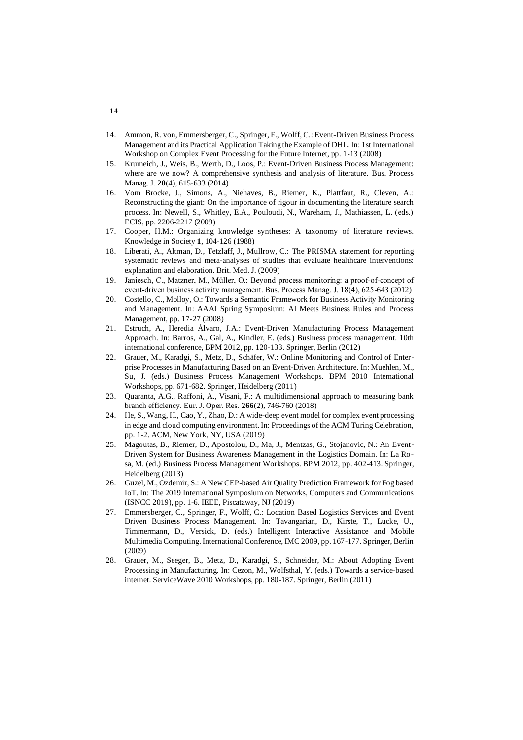- <span id="page-14-0"></span>14. Ammon, R. von, Emmersberger, C., Springer, F., Wolff, C.: Event-Driven Business Process Management and its Practical Application Taking the Example of DHL. In: 1st International Workshop on Complex Event Processing for the Future Internet, pp. 1-13 (2008)
- <span id="page-14-1"></span>15. Krumeich, J., Weis, B., Werth, D., Loos, P.: Event-Driven Business Process Management: where are we now? A comprehensive synthesis and analysis of literature. Bus. Process Manag. J. **20**(4), 615-633 (2014)
- <span id="page-14-2"></span>16. Vom Brocke, J., Simons, A., Niehaves, B., Riemer, K., Plattfaut, R., Cleven, A.: Reconstructing the giant: On the importance of rigour in documenting the literature search process. In: Newell, S., Whitley, E.A., Pouloudi, N., Wareham, J., Mathiassen, L. (eds.) ECIS, pp. 2206-2217 (2009)
- <span id="page-14-3"></span>17. Cooper, H.M.: Organizing knowledge syntheses: A taxonomy of literature reviews. Knowledge in Society **1**, 104-126 (1988)
- <span id="page-14-4"></span>18. Liberati, A., Altman, D., Tetzlaff, J., Mullrow, C.: The PRISMA statement for reporting systematic reviews and meta-analyses of studies that evaluate healthcare interventions: explanation and elaboration. Brit. Med. J. (2009)
- <span id="page-14-10"></span>19. Janiesch, C., Matzner, M., Müller, O.: Beyond process monitoring: a proof-of-concept of event-driven business activity management. Bus. Process Manag. J. 18(4), 625-643 (2012)
- <span id="page-14-7"></span>20. Costello, C., Molloy, O.: Towards a Semantic Framework for Business Activity Monitoring and Management. In: AAAI Spring Symposium: AI Meets Business Rules and Process Management, pp. 17-27 (2008)
- <span id="page-14-8"></span>21. Estruch, A., Heredia Álvaro, J.A.: Event-Driven Manufacturing Process Management Approach. In: Barros, A., Gal, A., Kindler, E. (eds.) Business process management. 10th international conference, BPM 2012, pp. 120-133. Springer, Berlin (2012)
- <span id="page-14-9"></span>22. Grauer, M., Karadgi, S., Metz, D., Schäfer, W.: Online Monitoring and Control of Enterprise Processes in Manufacturing Based on an Event-Driven Architecture. In: Muehlen, M., Su, J. (eds.) Business Process Management Workshops. BPM 2010 International Workshops, pp. 671-682. Springer, Heidelberg (2011)
- <span id="page-14-11"></span>23. Quaranta, A.G., Raffoni, A., Visani, F.: A multidimensional approach to measuring bank branch efficiency. Eur. J. Oper. Res. **266**(2), 746-760 (2018)
- <span id="page-14-5"></span>24. He, S., Wang, H., Cao, Y., Zhao, D.: A wide-deep event model for complex event processing in edge and cloud computing environment. In: Proceedings of the ACM Turing Celebration, pp. 1-2. ACM, New York, NY, USA (2019)
- <span id="page-14-6"></span>25. Magoutas, B., Riemer, D., Apostolou, D., Ma, J., Mentzas, G., Stojanovic, N.: An Event-Driven System for Business Awareness Management in the Logistics Domain. In: La Rosa, M. (ed.) Business Process Management Workshops. BPM 2012, pp. 402-413. Springer, Heidelberg (2013)
- <span id="page-14-12"></span>26. Guzel, M., Ozdemir, S.: A New CEP-based Air Quality Prediction Framework for Fog based IoT. In: The 2019 International Symposium on Networks, Computers and Communications (ISNCC 2019), pp. 1-6. IEEE, Piscataway, NJ (2019)
- <span id="page-14-13"></span>27. Emmersberger, C., Springer, F., Wolff, C.: Location Based Logistics Services and Event Driven Business Process Management. In: Tavangarian, D., Kirste, T., Lucke, U., Timmermann, D., Versick, D. (eds.) Intelligent Interactive Assistance and Mobile Multimedia Computing. International Conference, IMC 2009, pp. 167-177. Springer, Berlin (2009)
- <span id="page-14-14"></span>28. Grauer, M., Seeger, B., Metz, D., Karadgi, S., Schneider, M.: About Adopting Event Processing in Manufacturing. In: Cezon, M., Wolfsthal, Y. (eds.) Towards a service-based internet. ServiceWave 2010 Workshops, pp. 180-187. Springer, Berlin (2011)

## 14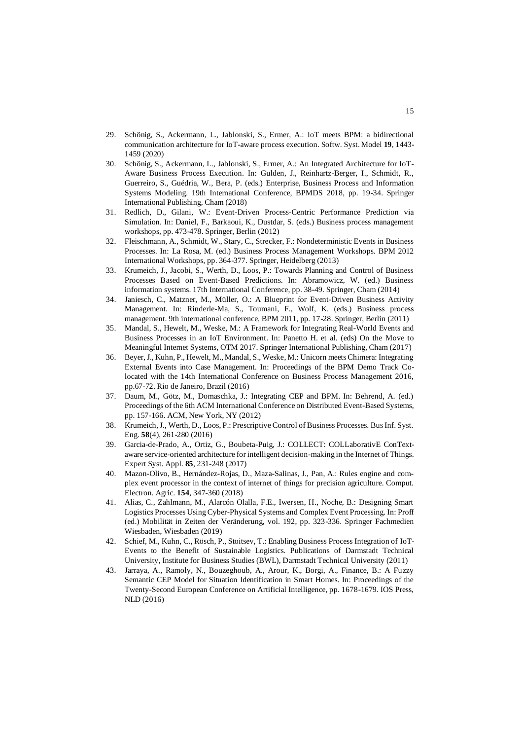- <span id="page-15-13"></span>29. Schönig, S., Ackermann, L., Jablonski, S., Ermer, A.: IoT meets BPM: a bidirectional communication architecture for IoT-aware process execution. Softw. Syst. Model **19**, 1443- 1459 (2020)
- <span id="page-15-14"></span>30. Schönig, S., Ackermann, L., Jablonski, S., Ermer, A.: An Integrated Architecture for IoT-Aware Business Process Execution. In: Gulden, J., Reinhartz-Berger, I., Schmidt, R., Guerreiro, S., Guédria, W., Bera, P. (eds.) Enterprise, Business Process and Information Systems Modeling. 19th International Conference, BPMDS 2018, pp. 19-34. Springer International Publishing, Cham (2018)
- <span id="page-15-0"></span>31. Redlich, D., Gilani, W.: Event-Driven Process-Centric Performance Prediction via Simulation. In: Daniel, F., Barkaoui, K., Dustdar, S. (eds.) Business process management workshops, pp. 473-478. Springer, Berlin (2012)
- <span id="page-15-9"></span>32. Fleischmann, A., Schmidt, W., Stary, C., Strecker, F.: Nondeterministic Events in Business Processes. In: La Rosa, M. (ed.) Business Process Management Workshops. BPM 2012 International Workshops, pp. 364-377. Springer, Heidelberg (2013)
- <span id="page-15-1"></span>33. Krumeich, J., Jacobi, S., Werth, D., Loos, P.: Towards Planning and Control of Business Processes Based on Event-Based Predictions. In: Abramowicz, W. (ed.) Business information systems. 17th International Conference, pp. 38-49. Springer, Cham (2014)
- <span id="page-15-2"></span>34. Janiesch, C., Matzner, M., Müller, O.: A Blueprint for Event-Driven Business Activity Management. In: Rinderle-Ma, S., Toumani, F., Wolf, K. (eds.) Business process management. 9th international conference, BPM 2011, pp. 17-28. Springer, Berlin (2011)
- <span id="page-15-7"></span>35. Mandal, S., Hewelt, M., Weske, M.: A Framework for Integrating Real-World Events and Business Processes in an IoT Environment. In: Panetto H. et al. (eds) On the Move to Meaningful Internet Systems, OTM 2017. Springer International Publishing, Cham (2017)
- <span id="page-15-8"></span>36. Beyer, J., Kuhn, P., Hewelt, M., Mandal, S., Weske, M.: Unicorn meets Chimera: Integrating External Events into Case Management. In: Proceedings of the BPM Demo Track Colocated with the 14th International Conference on Business Process Management 2016, pp.67-72. Rio de Janeiro, Brazil (2016)
- <span id="page-15-3"></span>37. Daum, M., Götz, M., Domaschka, J.: Integrating CEP and BPM. In: Behrend, A. (ed.) Proceedings of the 6th ACM International Conference on Distributed Event-Based Systems, pp. 157-166. ACM, New York, NY (2012)
- <span id="page-15-4"></span>38. Krumeich, J., Werth, D., Loos, P.: Prescriptive Control of Business Processes. Bus Inf. Syst. Eng. **58**(4), 261-280 (2016)
- <span id="page-15-5"></span>39. Garcia-de-Prado, A., Ortiz, G., Boubeta-Puig, J.: COLLECT: COLLaborativE ConTextaware service-oriented architecture for intelligent decision-making in the Internet of Things. Expert Syst. Appl. **85**, 231-248 (2017)
- <span id="page-15-6"></span>40. Mazon-Olivo, B., Hernández-Rojas, D., Maza-Salinas, J., Pan, A.: Rules engine and complex event processor in the context of internet of things for precision agriculture. Comput. Electron. Agric. **154**, 347-360 (2018)
- <span id="page-15-11"></span>41. Alias, C., Zahlmann, M., Alarcón Olalla, F.E., Iwersen, H., Noche, B.: Designing Smart Logistics Processes Using Cyber-Physical Systems and Complex Event Processing. In: Proff (ed.) Mobilität in Zeiten der Veränderung, vol. 192, pp. 323-336. Springer Fachmedien Wiesbaden, Wiesbaden (2019)
- <span id="page-15-12"></span>42. Schief, M., Kuhn, C., Rösch, P., Stoitsev, T.: Enabling Business Process Integration of IoT-Events to the Benefit of Sustainable Logistics. Publications of Darmstadt Technical University, Institute for Business Studies (BWL), Darmstadt Technical University (2011)
- <span id="page-15-10"></span>43. Jarraya, A., Ramoly, N., Bouzeghoub, A., Arour, K., Borgi, A., Finance, B.: A Fuzzy Semantic CEP Model for Situation Identification in Smart Homes. In: Proceedings of the Twenty-Second European Conference on Artificial Intelligence, pp. 1678-1679. IOS Press, NLD (2016)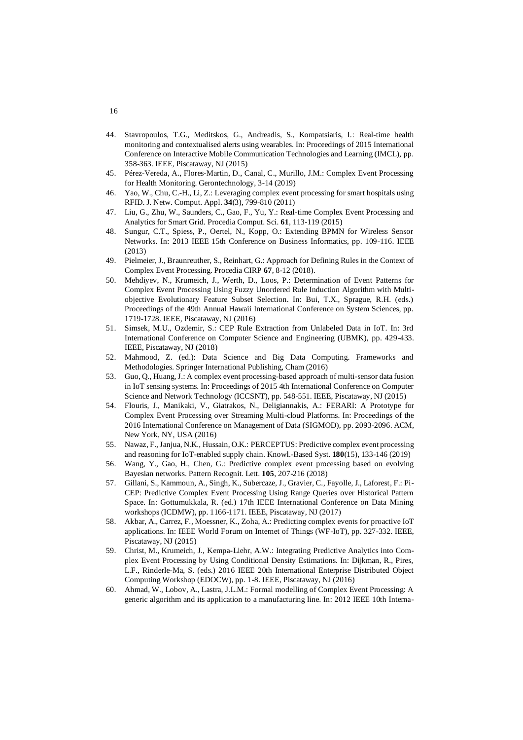- <span id="page-16-13"></span>44. Stavropoulos, T.G., Meditskos, G., Andreadis, S., Kompatsiaris, I.: Real-time health monitoring and contextualised alerts using wearables. In: Proceedings of 2015 International Conference on Interactive Mobile Communication Technologies and Learning (IMCL), pp. 358-363. IEEE, Piscataway, NJ (2015)
- <span id="page-16-14"></span>45. Pérez-Vereda, A., Flores-Martin, D., Canal, C., Murillo, J.M.: Complex Event Processing for Health Monitoring. Gerontechnology, 3-14 (2019)
- <span id="page-16-15"></span>46. Yao, W., Chu, C.-H., Li, Z.: Leveraging complex event processing for smart hospitals using RFID. J. Netw. Comput. Appl. **34**(3), 799-810 (2011)
- <span id="page-16-0"></span>47. Liu, G., Zhu, W., Saunders, C., Gao, F., Yu, Y.: Real-time Complex Event Processing and Analytics for Smart Grid. Procedia Comput. Sci. **61**, 113-119 (2015)
- <span id="page-16-1"></span>48. Sungur, C.T., Spiess, P., Oertel, N., Kopp, O.: Extending BPMN for Wireless Sensor Networks. In: 2013 IEEE 15th Conference on Business Informatics, pp. 109-116. IEEE (2013)
- <span id="page-16-2"></span>49. Pielmeier, J., Braunreuther, S., Reinhart, G.: Approach for Defining Rules in the Context of Complex Event Processing. Procedia CIRP **67**, 8-12 (2018).
- <span id="page-16-3"></span>50. Mehdiyev, N., Krumeich, J., Werth, D., Loos, P.: Determination of Event Patterns for Complex Event Processing Using Fuzzy Unordered Rule Induction Algorithm with Multiobjective Evolutionary Feature Subset Selection. In: Bui, T.X., Sprague, R.H. (eds.) Proceedings of the 49th Annual Hawaii International Conference on System Sciences, pp. 1719-1728. IEEE, Piscataway, NJ (2016)
- <span id="page-16-8"></span>51. Simsek, M.U., Ozdemir, S.: CEP Rule Extraction from Unlabeled Data in IoT. In: 3rd International Conference on Computer Science and Engineering (UBMK), pp. 429-433. IEEE, Piscataway, NJ (2018)
- <span id="page-16-10"></span>52. Mahmood, Z. (ed.): Data Science and Big Data Computing. Frameworks and Methodologies. Springer International Publishing, Cham (2016)
- <span id="page-16-9"></span>53. Guo, Q., Huang, J.: A complex event processing-based approach of multi-sensor data fusion in IoT sensing systems. In: Proceedings of 2015 4th International Conference on Computer Science and Network Technology (ICCSNT), pp. 548-551. IEEE, Piscataway, NJ (2015)
- <span id="page-16-4"></span>54. Flouris, J., Manikaki, V., Giatrakos, N., Deligiannakis, A.: FERARI: A Prototype for Complex Event Processing over Streaming Multi-cloud Platforms. In: Proceedings of the 2016 International Conference on Management of Data (SIGMOD), pp. 2093-2096. ACM, New York, NY, USA (2016)
- <span id="page-16-5"></span>55. Nawaz, F., Janjua, N.K., Hussain, O.K.: PERCEPTUS: Predictive complex event processing and reasoning for IoT-enabled supply chain. Knowl.-Based Syst. **180**(15), 133-146 (2019)
- <span id="page-16-11"></span>56. Wang, Y., Gao, H., Chen, G.: Predictive complex event processing based on evolving Bayesian networks. Pattern Recognit. Lett. **105**, 207-216 (2018)
- <span id="page-16-12"></span>57. Gillani, S., Kammoun, A., Singh, K., Subercaze, J., Gravier, C., Fayolle, J., Laforest, F.: Pi-CEP: Predictive Complex Event Processing Using Range Queries over Historical Pattern Space. In: Gottumukkala, R. (ed.) 17th IEEE International Conference on Data Mining workshops (ICDMW), pp. 1166-1171. IEEE, Piscataway, NJ (2017)
- 58. Akbar, A., Carrez, F., Moessner, K., Zoha, A.: Predicting complex events for proactive IoT applications. In: IEEE World Forum on Internet of Things (WF-IoT), pp. 327-332. IEEE, Piscataway, NJ (2015)
- <span id="page-16-6"></span>59. Christ, M., Krumeich, J., Kempa-Liehr, A.W.: Integrating Predictive Analytics into Complex Event Processing by Using Conditional Density Estimations. In: Dijkman, R., Pires, L.F., Rinderle-Ma, S. (eds.) 2016 IEEE 20th International Enterprise Distributed Object Computing Workshop (EDOCW), pp. 1-8. IEEE, Piscataway, NJ (2016)
- <span id="page-16-7"></span>60. Ahmad, W., Lobov, A., Lastra, J.L.M.: Formal modelling of Complex Event Processing: A generic algorithm and its application to a manufacturing line. In: 2012 IEEE 10th Interna-

## 16